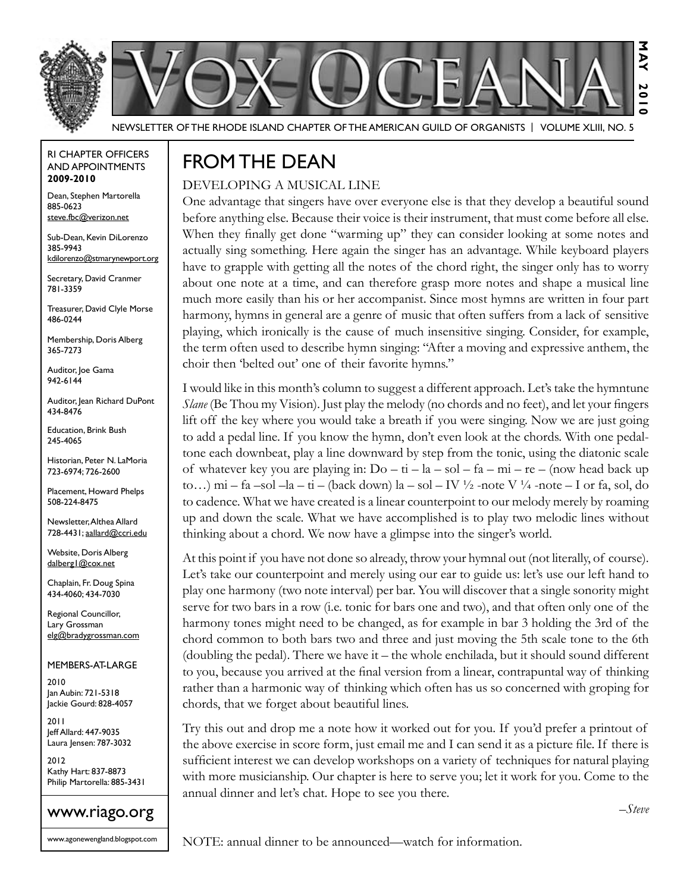



Newsletter of the Rhode Island Chapter of the American Guild of OrganistS | Volume XLIII, No. 5

#### RI Chapter Officers and Appointments **2009-2010**

Dean, Stephen Martorella 885-0623 steve.fbc@verizon.net

Sub-Dean, Kevin DiLorenzo 385-9943 kdilorenzo@stmarynewport.org

Secretary, David Cranmer 781-3359

Treasurer, David Clyle Morse 486-0244

Membership, Doris Alberg 365-7273

Auditor, Joe Gama 942-6144

Auditor, Jean Richard DuPont 434-8476

Education, Brink Bush 245-4065

Historian, Peter N. LaMoria 723-6974; 726-2600

Placement, Howard Phelps 508-224-8475

Newsletter, Althea Allard 728-4431; aallard@ccri.edu

Website, Doris Alberg dalberg1@cox.net

Chaplain, Fr. Doug Spina 434-4060; 434-7030

Regional Councillor, Lary Grossman elg@bradygrossman.com

Members-at-Large

2010 Jan Aubin: 721-5318 Jackie Gourd: 828-4057

2011 Jeff Allard: 447-9035 Laura Jensen: 787-3032

2012 Kathy Hart: 837-8873 Philip Martorella: 885-3431



www.agonewengland.blogspot.com

## FROM THE DEAN

#### Developing a Musical Line

One advantage that singers have over everyone else is that they develop a beautiful sound before anything else. Because their voice is their instrument, that must come before all else. When they finally get done "warming up" they can consider looking at some notes and actually sing something. Here again the singer has an advantage. While keyboard players have to grapple with getting all the notes of the chord right, the singer only has to worry about one note at a time, and can therefore grasp more notes and shape a musical line much more easily than his or her accompanist. Since most hymns are written in four part harmony, hymns in general are a genre of music that often suffers from a lack of sensitive playing, which ironically is the cause of much insensitive singing. Consider, for example, the term often used to describe hymn singing: "After a moving and expressive anthem, the choir then 'belted out' one of their favorite hymns."

I would like in this month's column to suggest a different approach. Let's take the hymntune *Slane* (Be Thou my Vision). Just play the melody (no chords and no feet), and let your fingers lift off the key where you would take a breath if you were singing. Now we are just going to add a pedal line. If you know the hymn, don't even look at the chords. With one pedaltone each downbeat, play a line downward by step from the tonic, using the diatonic scale of whatever key you are playing in:  $Do - ti - la - sol - fa - mi - re - (now head back up)$ to...) mi – fa –sol –la – ti – (back down) la – sol – IV  $\frac{1}{2}$  -note V  $\frac{1}{4}$  -note – I or fa, sol, do to cadence. What we have created is a linear counterpoint to our melody merely by roaming up and down the scale. What we have accomplished is to play two melodic lines without thinking about a chord. We now have a glimpse into the singer's world.

At this point if you have not done so already, throw your hymnal out (not literally, of course). Let's take our counterpoint and merely using our ear to guide us: let's use our left hand to play one harmony (two note interval) per bar. You will discover that a single sonority might serve for two bars in a row (i.e. tonic for bars one and two), and that often only one of the harmony tones might need to be changed, as for example in bar 3 holding the 3rd of the chord common to both bars two and three and just moving the 5th scale tone to the 6th (doubling the pedal). There we have it – the whole enchilada, but it should sound different to you, because you arrived at the final version from a linear, contrapuntal way of thinking rather than a harmonic way of thinking which often has us so concerned with groping for chords, that we forget about beautiful lines.

Try this out and drop me a note how it worked out for you. If you'd prefer a printout of the above exercise in score form, just email me and I can send it as a picture file. If there is sufficient interest we can develop workshops on a variety of techniques for natural playing with more musicianship. Our chapter is here to serve you; let it work for you. Come to the annual dinner and let's chat. Hope to see you there.

*–Steve*

NOTE: annual dinner to be announced—watch for information.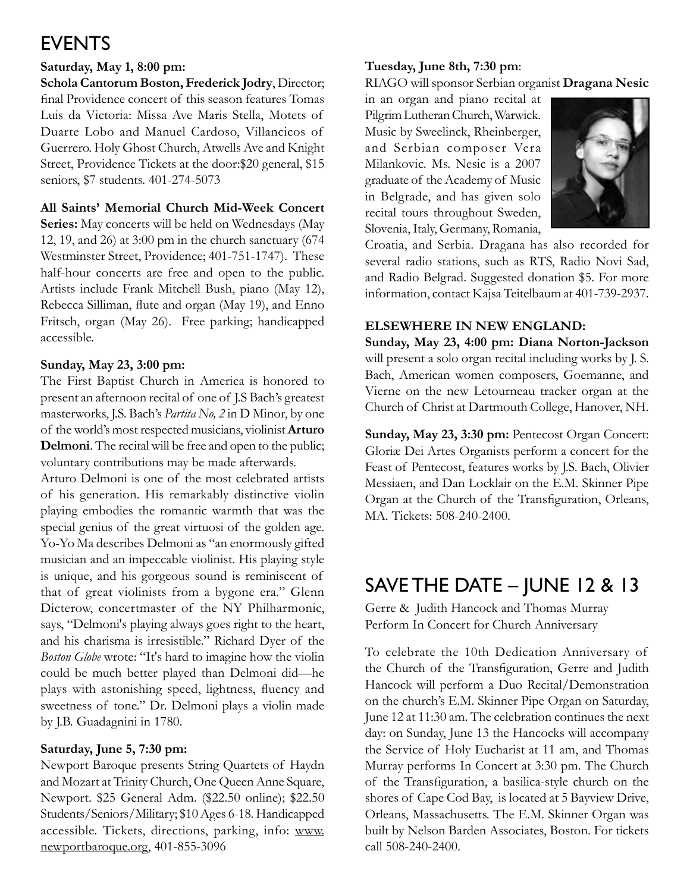# **EVENTS**

### **Saturday, May 1, 8:00 pm:**

**Schola Cantorum Boston, Frederick Jodry**, Director; final Providence concert of this season features Tomas Luis da Victoria: Missa Ave Maris Stella, Motets of Duarte Lobo and Manuel Cardoso, Villancicos of Guerrero. Holy Ghost Church, Atwells Ave and Knight Street, Providence Tickets at the door:\$20 general, \$15 seniors, \$7 students. 401-274-5073

### **All Saints' Memorial Church Mid-Week Concert**

**Series:** May concerts will be held on Wednesdays (May 12, 19, and 26) at 3:00 pm in the church sanctuary (674 Westminster Street, Providence; 401-751-1747). These half-hour concerts are free and open to the public. Artists include Frank Mitchell Bush, piano (May 12), Rebecca Silliman, flute and organ (May 19), and Enno Fritsch, organ (May 26). Free parking; handicapped accessible.

### **Sunday, May 23, 3:00 pm:**

The First Baptist Church in America is honored to present an afternoon recital of one of J.S Bach's greatest masterworks, J.S. Bach's *Partita No, 2* in D Minor, by one of the world's most respected musicians, violinist **Arturo Delmoni**. The recital will be free and open to the public; voluntary contributions may be made afterwards.

Arturo Delmoni is one of the most celebrated artists of his generation. His remarkably distinctive violin playing embodies the romantic warmth that was the special genius of the great virtuosi of the golden age. Yo-Yo Ma describes Delmoni as "an enormously gifted musician and an impeccable violinist. His playing style is unique, and his gorgeous sound is reminiscent of that of great violinists from a bygone era." Glenn Dicterow, concertmaster of the NY Philharmonic, says, "Delmoni's playing always goes right to the heart, and his charisma is irresistible." Richard Dyer of the *Boston Globe* wrote: "It's hard to imagine how the violin could be much better played than Delmoni did—he plays with astonishing speed, lightness, fluency and sweetness of tone." Dr. Delmoni plays a violin made by J.B. Guadagnini in 1780.

### **Saturday, June 5, 7:30 pm:**

Newport Baroque presents String Quartets of Haydn and Mozart at Trinity Church, One Queen Anne Square, Newport. \$25 General Adm. (\$22.50 online); \$22.50 Students/Seniors/Military; \$10 Ages 6-18. Handicapped accessible. Tickets, directions, parking, info: www. newportbaroque.org, 401-855-3096

### **Tuesday, June 8th, 7:30 pm**:

RIAGO will sponsor Serbian organist **Dragana Nesic**

in an organ and piano recital at Pilgrim Lutheran Church, Warwick. Music by Sweelinck, Rheinberger, and Serbian composer Vera Milankovic. Ms. Nesic is a 2007 graduate of the Academy of Music in Belgrade, and has given solo recital tours throughout Sweden, Slovenia, Italy, Germany, Romania,



Croatia, and Serbia. Dragana has also recorded for several radio stations, such as RTS, Radio Novi Sad, and Radio Belgrad. Suggested donation \$5. For more information, contact Kajsa Teitelbaum at 401-739-2937.

### **Elsewhere in New England:**

**Sunday, May 23, 4:00 pm: Diana Norton-Jackson** will present a solo organ recital including works by J. S. Bach, American women composers, Goemanne, and Vierne on the new Letourneau tracker organ at the Church of Christ at Dartmouth College, Hanover, NH.

**Sunday, May 23, 3:30 pm:** Pentecost Organ Concert: Gloriæ Dei Artes Organists perform a concert for the Feast of Pentecost, features works by J.S. Bach, Olivier Messiaen, and Dan Locklair on the E.M. Skinner Pipe Organ at the Church of the Transfiguration, Orleans, MA. Tickets: 508-240-2400.

## SAVE THE DATE – June 12 & 13

Gerre & Judith Hancock and Thomas Murray Perform In Concert for Church Anniversary

To celebrate the 10th Dedication Anniversary of the Church of the Transfiguration, Gerre and Judith Hancock will perform a Duo Recital/Demonstration on the church's E.M. Skinner Pipe Organ on Saturday, June 12 at 11:30 am. The celebration continues the next day: on Sunday, June 13 the Hancocks will accompany the Service of Holy Eucharist at 11 am, and Thomas Murray performs In Concert at 3:30 pm. The Church of the Transfiguration, a basilica-style church on the shores of Cape Cod Bay, is located at 5 Bayview Drive, Orleans, Massachusetts. The E.M. Skinner Organ was built by Nelson Barden Associates, Boston. For tickets call 508-240-2400.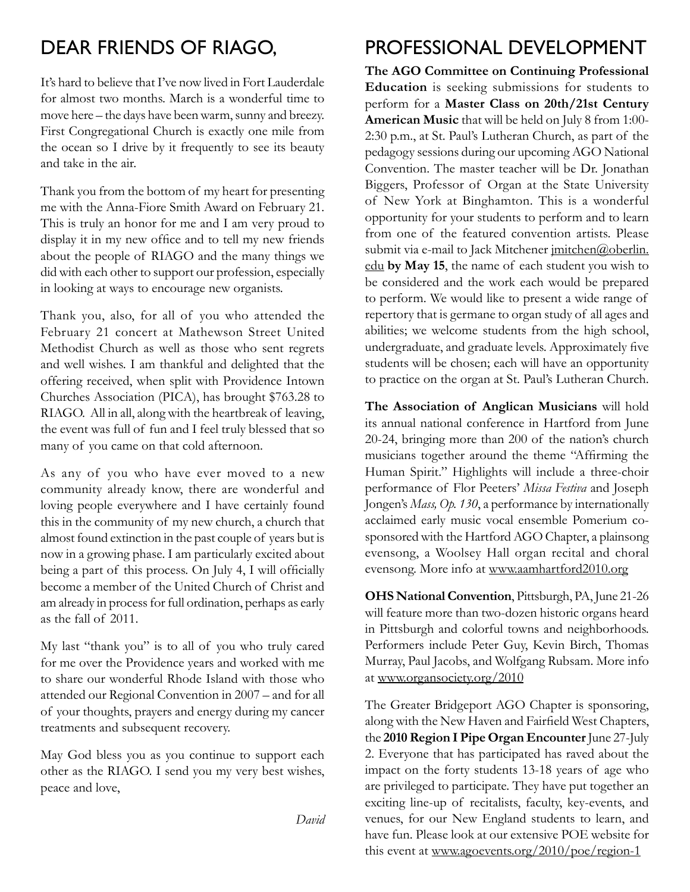## Dear Friends of RIAGO,

It's hard to believe that I've now lived in Fort Lauderdale for almost two months. March is a wonderful time to move here – the days have been warm, sunny and breezy. First Congregational Church is exactly one mile from the ocean so I drive by it frequently to see its beauty and take in the air.

Thank you from the bottom of my heart for presenting me with the Anna-Fiore Smith Award on February 21. This is truly an honor for me and I am very proud to display it in my new office and to tell my new friends about the people of RIAGO and the many things we did with each other to support our profession, especially in looking at ways to encourage new organists.

Thank you, also, for all of you who attended the February 21 concert at Mathewson Street United Methodist Church as well as those who sent regrets and well wishes. I am thankful and delighted that the offering received, when split with Providence Intown Churches Association (PICA), has brought \$763.28 to RIAGO. All in all, along with the heartbreak of leaving, the event was full of fun and I feel truly blessed that so many of you came on that cold afternoon.

As any of you who have ever moved to a new community already know, there are wonderful and loving people everywhere and I have certainly found this in the community of my new church, a church that almost found extinction in the past couple of years but is now in a growing phase. I am particularly excited about being a part of this process. On July 4, I will officially become a member of the United Church of Christ and am already in process for full ordination, perhaps as early as the fall of 2011.

My last "thank you" is to all of you who truly cared for me over the Providence years and worked with me to share our wonderful Rhode Island with those who attended our Regional Convention in 2007 – and for all of your thoughts, prayers and energy during my cancer treatments and subsequent recovery.

May God bless you as you continue to support each other as the RIAGO. I send you my very best wishes, peace and love,

*David*

## Professional Development

**The AGO Committee on Continuing Professional Education** is seeking submissions for students to perform for a **Master Class on 20th/21st Century American Music** that will be held on July 8 from 1:00- 2:30 p.m., at St. Paul's Lutheran Church, as part of the pedagogy sessions during our upcoming AGO National Convention. The master teacher will be Dr. Jonathan Biggers, Professor of Organ at the State University of New York at Binghamton. This is a wonderful opportunity for your students to perform and to learn from one of the featured convention artists. Please submit via e-mail to Jack Mitchener imitchen@oberlin. edu **by May 15**, the name of each student you wish to be considered and the work each would be prepared to perform. We would like to present a wide range of repertory that is germane to organ study of all ages and abilities; we welcome students from the high school, undergraduate, and graduate levels. Approximately five students will be chosen; each will have an opportunity to practice on the organ at St. Paul's Lutheran Church.

**The Association of Anglican Musicians** will hold its annual national conference in Hartford from June 20-24, bringing more than 200 of the nation's church musicians together around the theme "Affirming the Human Spirit." Highlights will include a three-choir performance of Flor Peeters' *Missa Festiva* and Joseph Jongen's *Mass, Op. 130*, a performance by internationally acclaimed early music vocal ensemble Pomerium cosponsored with the Hartford AGO Chapter, a plainsong evensong, a Woolsey Hall organ recital and choral evensong. More info at www.aamhartford2010.org

**OHS National Convention**, Pittsburgh, PA, June 21-26 will feature more than two-dozen historic organs heard in Pittsburgh and colorful towns and neighborhoods. Performers include Peter Guy, Kevin Birch, Thomas Murray, Paul Jacobs, and Wolfgang Rubsam. More info at www.organsociety.org/2010

The Greater Bridgeport AGO Chapter is sponsoring, along with the New Haven and Fairfield West Chapters, the **2010 Region I Pipe Organ Encounter** June 27-July 2. Everyone that has participated has raved about the impact on the forty students 13-18 years of age who are privileged to participate. They have put together an exciting line-up of recitalists, faculty, key-events, and venues, for our New England students to learn, and have fun. Please look at our extensive POE website for this event at www.agoevents.org/2010/poe/region-1